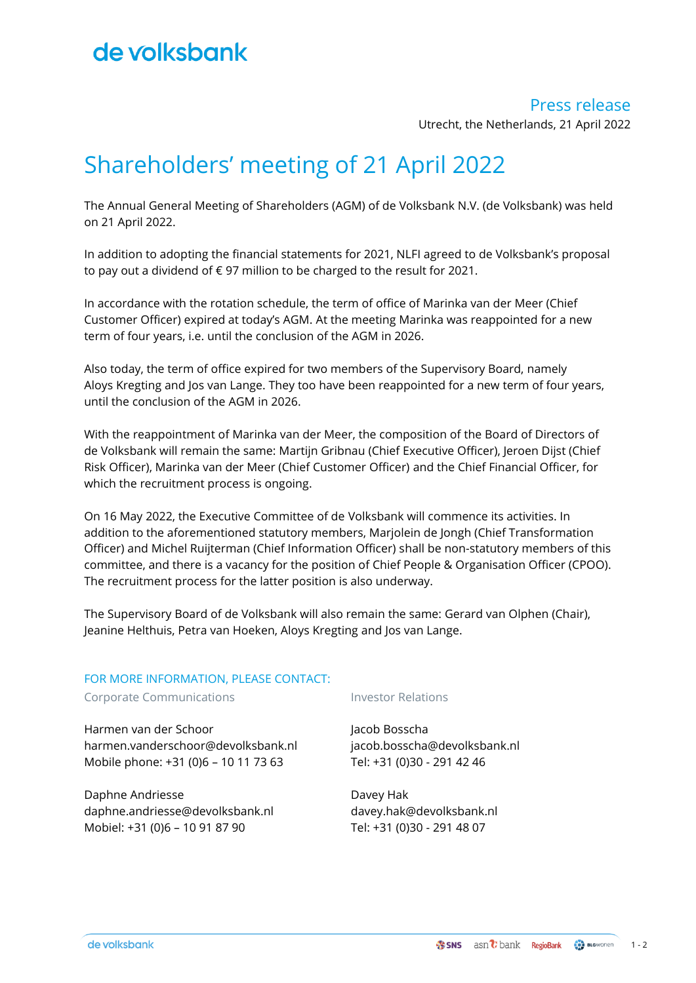## Press release

Utrecht, the Netherlands, 21 April 2022

# Shareholders' meeting of 21 April 2022

The Annual General Meeting of Shareholders (AGM) of de Volksbank N.V. (de Volksbank) was held on 21 April 2022.

In addition to adopting the financial statements for 2021, NLFI agreed to de Volksbank's proposal to pay out a dividend of € 97 million to be charged to the result for 2021.

In accordance with the rotation schedule, the term of office of Marinka van der Meer (Chief Customer Officer) expired at today's AGM. At the meeting Marinka was reappointed for a new term of four years, i.e. until the conclusion of the AGM in 2026.

Also today, the term of office expired for two members of the Supervisory Board, namely Aloys Kregting and Jos van Lange. They too have been reappointed for a new term of four years, until the conclusion of the AGM in 2026.

With the reappointment of Marinka van der Meer, the composition of the Board of Directors of de Volksbank will remain the same: Martijn Gribnau (Chief Executive Officer), Jeroen Dijst (Chief Risk Officer), Marinka van der Meer (Chief Customer Officer) and the Chief Financial Officer, for which the recruitment process is ongoing.

On 16 May 2022, the Executive Committee of de Volksbank will commence its activities. In addition to the aforementioned statutory members, Marjolein de Jongh (Chief Transformation Officer) and Michel Ruijterman (Chief Information Officer) shall be non-statutory members of this committee, and there is a vacancy for the position of Chief People & Organisation Officer (CPOO). The recruitment process for the latter position is also underway.

The Supervisory Board of de Volksbank will also remain the same: Gerard van Olphen (Chair), Jeanine Helthuis, Petra van Hoeken, Aloys Kregting and Jos van Lange.

## FOR MORE INFORMATION, PLEASE CONTACT:

Corporate Communications The Investor Relations

Harmen van der Schoor harmen.vanderschoor@devolksbank.nl Mobile phone: +31 (0)6 – 10 11 73 63

Daphne Andriesse daphne.andriesse@devolksbank.nl Mobiel: +31 (0)6 – 10 91 87 90

Jacob Bosscha jacob.bosscha@devolksbank.nl Tel: +31 (0)30 - 291 42 46

Davey Hak davey.hak@devolksbank.nl Tel: +31 (0)30 - 291 48 07